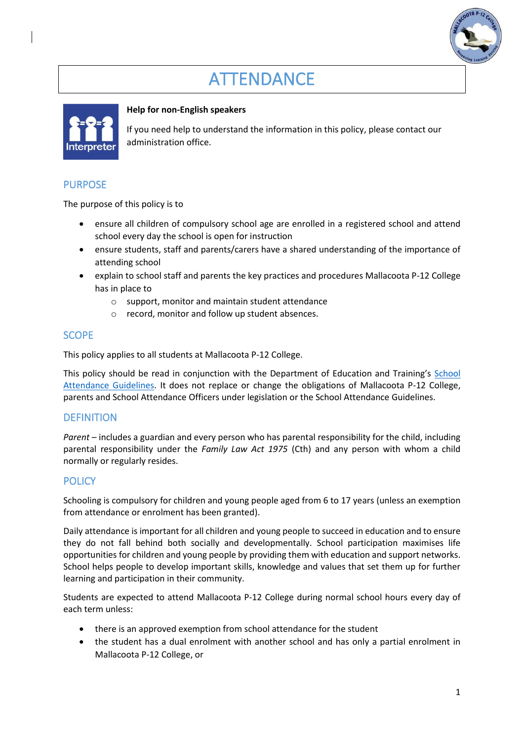# **ATTENDANCE**



### **Help for non-English speakers**

If you need help to understand the information in this policy, please contact our administration office.

# PURPOSE

The purpose of this policy is to

- ensure all children of compulsory school age are enrolled in a registered school and attend school every day the school is open for instruction
- ensure students, staff and parents/carers have a shared understanding of the importance of attending school
- explain to school staff and parents the key practices and procedures Mallacoota P-12 College has in place to
	- o support, monitor and maintain student attendance
	- o record, monitor and follow up student absences.

# **SCOPE**

This policy applies to all students at Mallacoota P-12 College.

This policy should be read in conjunction with the Department of Education and Training's [School](https://www2.education.vic.gov.au/pal/attendance/guidance)  [Attendance Guidelines.](https://www2.education.vic.gov.au/pal/attendance/guidance) It does not replace or change the obligations of Mallacoota P-12 College, parents and School Attendance Officers under legislation or the School Attendance Guidelines.

#### **DEFINITION**

*Parent* – includes a guardian and every person who has parental responsibility for the child, including parental responsibility under the *Family Law Act 1975* (Cth) and any person with whom a child normally or regularly resides.

# **POLICY**

Schooling is compulsory for children and young people aged from 6 to 17 years (unless an exemption from attendance or enrolment has been granted).

Daily attendance is important for all children and young people to succeed in education and to ensure they do not fall behind both socially and developmentally. School participation maximises life opportunities for children and young people by providing them with education and support networks. School helps people to develop important skills, knowledge and values that set them up for further learning and participation in their community.

Students are expected to attend Mallacoota P-12 College during normal school hours every day of each term unless:

- there is an approved exemption from school attendance for the student
- the student has a dual enrolment with another school and has only a partial enrolment in Mallacoota P-12 College, or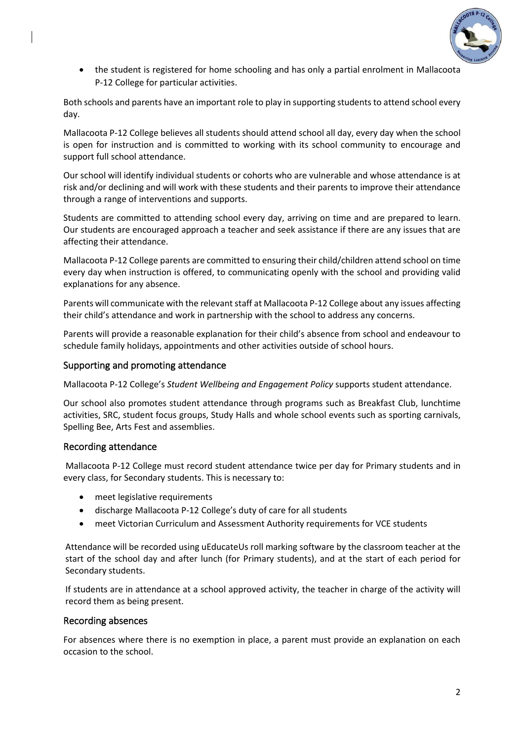

• the student is registered for home schooling and has only a partial enrolment in Mallacoota P-12 College for particular activities.

Both schools and parents have an important role to play in supporting students to attend school every day.

Mallacoota P-12 College believes all students should attend school all day, every day when the school is open for instruction and is committed to working with its school community to encourage and support full school attendance.

Our school will identify individual students or cohorts who are vulnerable and whose attendance is at risk and/or declining and will work with these students and their parents to improve their attendance through a range of interventions and supports.

Students are committed to attending school every day, arriving on time and are prepared to learn. Our students are encouraged approach a teacher and seek assistance if there are any issues that are affecting their attendance.

Mallacoota P-12 College parents are committed to ensuring their child/children attend school on time every day when instruction is offered, to communicating openly with the school and providing valid explanations for any absence.

Parents will communicate with the relevant staff at Mallacoota P-12 College about any issues affecting their child's attendance and work in partnership with the school to address any concerns.

Parents will provide a reasonable explanation for their child's absence from school and endeavour to schedule family holidays, appointments and other activities outside of school hours.

#### Supporting and promoting attendance

Mallacoota P-12 College's *Student Wellbeing and Engagement Policy* supports student attendance.

Our school also promotes student attendance through programs such as Breakfast Club, lunchtime activities, SRC, student focus groups, Study Halls and whole school events such as sporting carnivals, Spelling Bee, Arts Fest and assemblies.

#### Recording attendance

Mallacoota P-12 College must record student attendance twice per day for Primary students and in every class, for Secondary students. This is necessary to:

- meet legislative requirements
- discharge Mallacoota P-12 College's duty of care for all students
- meet Victorian Curriculum and Assessment Authority requirements for VCE students

Attendance will be recorded using uEducateUs roll marking software by the classroom teacher at the start of the school day and after lunch (for Primary students), and at the start of each period for Secondary students.

If students are in attendance at a school approved activity, the teacher in charge of the activity will record them as being present.

#### Recording absences

For absences where there is no exemption in place, a parent must provide an explanation on each occasion to the school.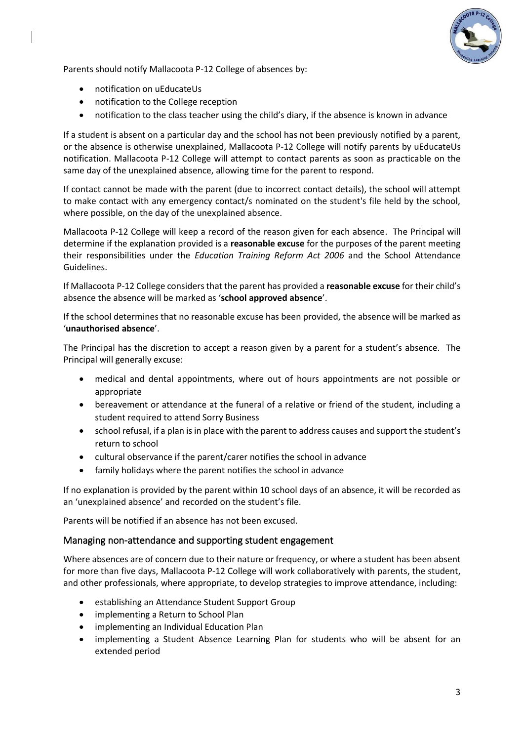

Parents should notify Mallacoota P-12 College of absences by:

- notification on uEducateUs
- notification to the College reception
- notification to the class teacher using the child's diary, if the absence is known in advance

If a student is absent on a particular day and the school has not been previously notified by a parent, or the absence is otherwise unexplained, Mallacoota P-12 College will notify parents by uEducateUs notification. Mallacoota P-12 College will attempt to contact parents as soon as practicable on the same day of the unexplained absence, allowing time for the parent to respond.

If contact cannot be made with the parent (due to incorrect contact details), the school will attempt to make contact with any emergency contact/s nominated on the student's file held by the school, where possible, on the day of the unexplained absence.

Mallacoota P-12 College will keep a record of the reason given for each absence. The Principal will determine if the explanation provided is a **reasonable excuse** for the purposes of the parent meeting their responsibilities under the *Education Training Reform Act 2006* and the School Attendance Guidelines.

If Mallacoota P-12 College considers that the parent has provided a **reasonable excuse** for their child's absence the absence will be marked as '**school approved absence**'.

If the school determines that no reasonable excuse has been provided, the absence will be marked as '**unauthorised absence**'.

The Principal has the discretion to accept a reason given by a parent for a student's absence. The Principal will generally excuse:

- medical and dental appointments, where out of hours appointments are not possible or appropriate
- bereavement or attendance at the funeral of a relative or friend of the student, including a student required to attend Sorry Business
- school refusal, if a plan is in place with the parent to address causes and support the student's return to school
- cultural observance if the parent/carer notifies the school in advance
- family holidays where the parent notifies the school in advance

If no explanation is provided by the parent within 10 school days of an absence, it will be recorded as an 'unexplained absence' and recorded on the student's file.

Parents will be notified if an absence has not been excused.

#### Managing non-attendance and supporting student engagement

Where absences are of concern due to their nature or frequency, or where a student has been absent for more than five days, Mallacoota P-12 College will work collaboratively with parents, the student, and other professionals, where appropriate, to develop strategies to improve attendance, including:

- establishing an Attendance Student Support Group
- implementing a Return to School Plan
- implementing an Individual Education Plan
- implementing a Student Absence Learning Plan for students who will be absent for an extended period